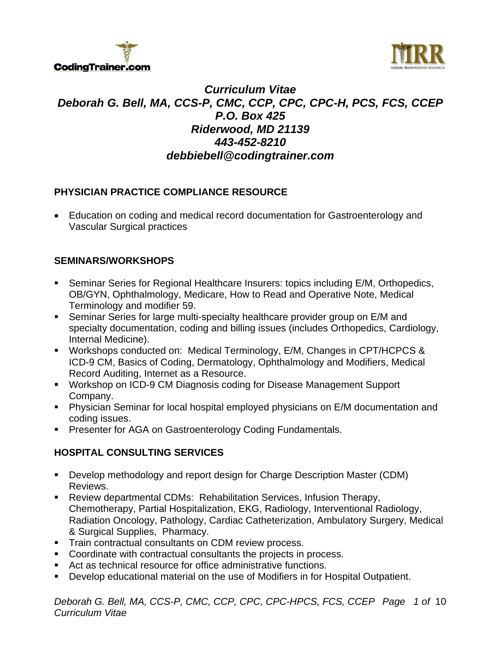



# *Curriculum Vitae Deborah G. Bell, MA, CCS-P, CMC, CCP, CPC, CPC-H, PCS, FCS, CCEP P.O. Box 425 Riderwood, MD 21139 443-452-8210 debbiebell@codingtrainer.com*

# **PHYSICIAN PRACTICE COMPLIANCE RESOURCE**

 Education on coding and medical record documentation for Gastroenterology and Vascular Surgical practices

# **SEMINARS/WORKSHOPS**

- Seminar Series for Regional Healthcare Insurers: topics including E/M, Orthopedics, OB/GYN, Ophthalmology, Medicare, How to Read and Operative Note, Medical Terminology and modifier 59.
- Seminar Series for large multi-specialty healthcare provider group on E/M and specialty documentation, coding and billing issues (includes Orthopedics, Cardiology, Internal Medicine).
- Workshops conducted on: Medical Terminology, E/M, Changes in CPT/HCPCS & ICD-9 CM, Basics of Coding, Dermatology, Ophthalmology and Modifiers, Medical Record Auditing, Internet as a Resource.
- Workshop on ICD-9 CM Diagnosis coding for Disease Management Support Company.
- Physician Seminar for local hospital employed physicians on E/M documentation and coding issues.
- **Presenter for AGA on Gastroenterology Coding Fundamentals.**

# **HOSPITAL CONSULTING SERVICES**

- Develop methodology and report design for Charge Description Master (CDM) Reviews.
- Review departmental CDMs: Rehabilitation Services, Infusion Therapy, Chemotherapy, Partial Hospitalization, EKG, Radiology, Interventional Radiology, Radiation Oncology, Pathology, Cardiac Catheterization, Ambulatory Surgery, Medical & Surgical Supplies, Pharmacy.
- **Train contractual consultants on CDM review process.**
- Coordinate with contractual consultants the projects in process.
- Act as technical resource for office administrative functions.
- Develop educational material on the use of Modifiers in for Hospital Outpatient.

*Deborah G. Bell, MA, CCS-P, CMC, CCP, CPC, CPC-HPCS, FCS, CCEP Page 1 of* 10 *Curriculum Vitae*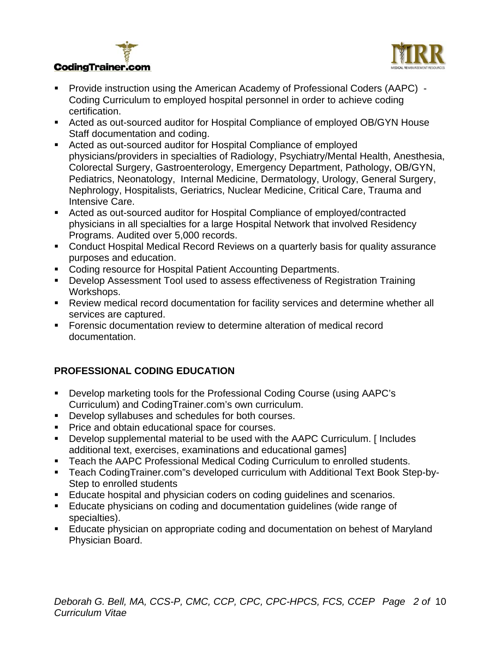



- Provide instruction using the American Academy of Professional Coders (AAPC) Coding Curriculum to employed hospital personnel in order to achieve coding certification.
- Acted as out-sourced auditor for Hospital Compliance of employed OB/GYN House Staff documentation and coding.
- Acted as out-sourced auditor for Hospital Compliance of employed physicians/providers in specialties of Radiology, Psychiatry/Mental Health, Anesthesia, Colorectal Surgery, Gastroenterology, Emergency Department, Pathology, OB/GYN, Pediatrics, Neonatology, Internal Medicine, Dermatology, Urology, General Surgery, Nephrology, Hospitalists, Geriatrics, Nuclear Medicine, Critical Care, Trauma and Intensive Care.
- Acted as out-sourced auditor for Hospital Compliance of employed/contracted physicians in all specialties for a large Hospital Network that involved Residency Programs. Audited over 5,000 records.
- **EX Conduct Hospital Medical Record Reviews on a quarterly basis for quality assurance** purposes and education.
- **Coding resource for Hospital Patient Accounting Departments.**
- Develop Assessment Tool used to assess effectiveness of Registration Training Workshops.
- Review medical record documentation for facility services and determine whether all services are captured.
- Forensic documentation review to determine alteration of medical record documentation.

# **PROFESSIONAL CODING EDUCATION**

- Develop marketing tools for the Professional Coding Course (using AAPC's Curriculum) and CodingTrainer.com's own curriculum.
- Develop syllabuses and schedules for both courses.
- **Price and obtain educational space for courses.**
- Develop supplemental material to be used with the AAPC Curriculum. [ Includes additional text, exercises, examinations and educational games]
- **Teach the AAPC Professional Medical Coding Curriculum to enrolled students.**
- Teach CodingTrainer.com"s developed curriculum with Additional Text Book Step-by-Step to enrolled students
- Educate hospital and physician coders on coding guidelines and scenarios.
- Educate physicians on coding and documentation guidelines (wide range of specialties).
- **Educate physician on appropriate coding and documentation on behest of Maryland** Physician Board.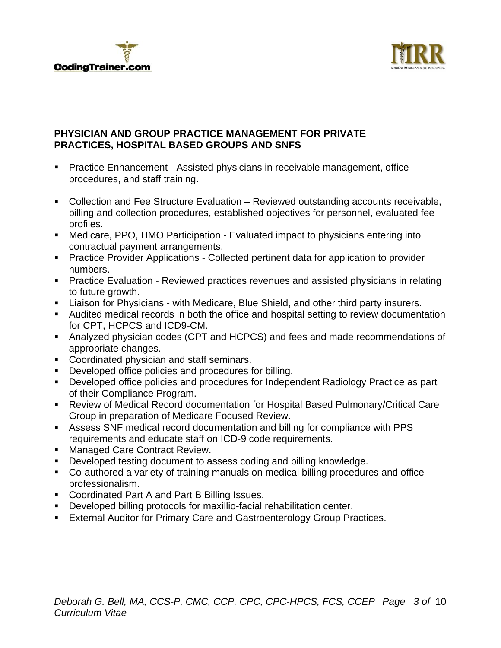



#### **PHYSICIAN AND GROUP PRACTICE MANAGEMENT FOR PRIVATE PRACTICES, HOSPITAL BASED GROUPS AND SNFS**

- **Practice Enhancement Assisted physicians in receivable management, office** procedures, and staff training.
- Collection and Fee Structure Evaluation Reviewed outstanding accounts receivable, billing and collection procedures, established objectives for personnel, evaluated fee profiles.
- Medicare, PPO, HMO Participation Evaluated impact to physicians entering into contractual payment arrangements.
- **Practice Provider Applications Collected pertinent data for application to provider** numbers.
- **Practice Evaluation Reviewed practices revenues and assisted physicians in relating** to future growth.
- Liaison for Physicians with Medicare, Blue Shield, and other third party insurers.
- Audited medical records in both the office and hospital setting to review documentation for CPT, HCPCS and ICD9-CM.
- Analyzed physician codes (CPT and HCPCS) and fees and made recommendations of appropriate changes.
- **Coordinated physician and staff seminars.**
- **•** Developed office policies and procedures for billing.
- **Developed office policies and procedures for Independent Radiology Practice as part** of their Compliance Program.
- Review of Medical Record documentation for Hospital Based Pulmonary/Critical Care Group in preparation of Medicare Focused Review.
- Assess SNF medical record documentation and billing for compliance with PPS requirements and educate staff on ICD-9 code requirements.
- **Managed Care Contract Review.**
- **Developed testing document to assess coding and billing knowledge.**
- Co-authored a variety of training manuals on medical billing procedures and office professionalism.
- **Coordinated Part A and Part B Billing Issues.**
- Developed billing protocols for maxillio-facial rehabilitation center.
- **External Auditor for Primary Care and Gastroenterology Group Practices.**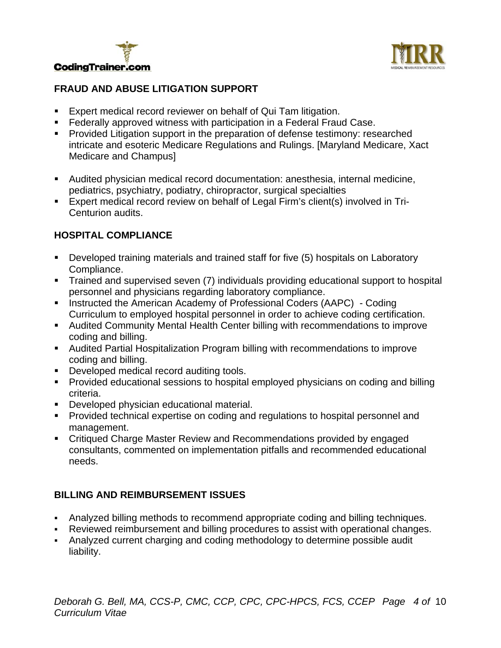



# **FRAUD AND ABUSE LITIGATION SUPPORT**

- **Expert medical record reviewer on behalf of Qui Tam litigation.**
- **Federally approved witness with participation in a Federal Fraud Case.**
- **Provided Litigation support in the preparation of defense testimony: researched** intricate and esoteric Medicare Regulations and Rulings. [Maryland Medicare, Xact Medicare and Champus]
- Audited physician medical record documentation: anesthesia, internal medicine, pediatrics, psychiatry, podiatry, chiropractor, surgical specialties
- Expert medical record review on behalf of Legal Firm's client(s) involved in Tri-Centurion audits.

# **HOSPITAL COMPLIANCE**

- Developed training materials and trained staff for five (5) hospitals on Laboratory Compliance.
- **Trained and supervised seven (7) individuals providing educational support to hospital** personnel and physicians regarding laboratory compliance.
- Instructed the American Academy of Professional Coders (AAPC) Coding Curriculum to employed hospital personnel in order to achieve coding certification.
- Audited Community Mental Health Center billing with recommendations to improve coding and billing.
- Audited Partial Hospitalization Program billing with recommendations to improve coding and billing.
- **Developed medical record auditing tools.**
- **Provided educational sessions to hospital employed physicians on coding and billing** criteria.
- **Developed physician educational material.**
- **Provided technical expertise on coding and regulations to hospital personnel and** management.
- Critiqued Charge Master Review and Recommendations provided by engaged consultants, commented on implementation pitfalls and recommended educational needs.

# **BILLING AND REIMBURSEMENT ISSUES**

- Analyzed billing methods to recommend appropriate coding and billing techniques.
- Reviewed reimbursement and billing procedures to assist with operational changes.
- Analyzed current charging and coding methodology to determine possible audit liability.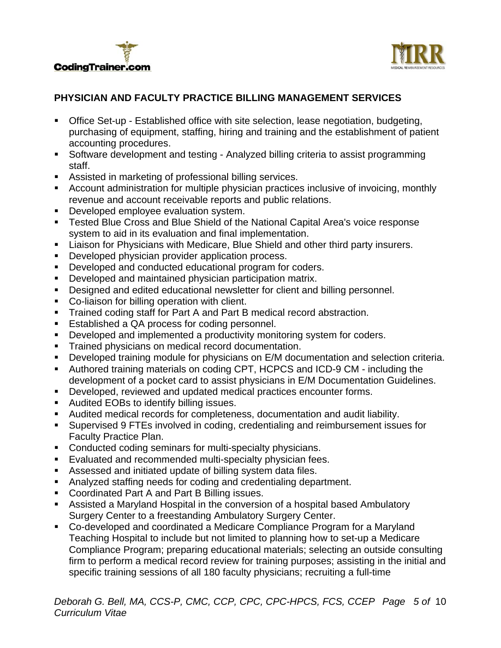



# **PHYSICIAN AND FACULTY PRACTICE BILLING MANAGEMENT SERVICES**

- Office Set-up Established office with site selection, lease negotiation, budgeting, purchasing of equipment, staffing, hiring and training and the establishment of patient accounting procedures.
- Software development and testing Analyzed billing criteria to assist programming staff.
- Assisted in marketing of professional billing services.
- Account administration for multiple physician practices inclusive of invoicing, monthly revenue and account receivable reports and public relations.
- Developed employee evaluation system.
- **Tested Blue Cross and Blue Shield of the National Capital Area's voice response** system to aid in its evaluation and final implementation.
- Liaison for Physicians with Medicare, Blue Shield and other third party insurers.
- **Developed physician provider application process.**
- Developed and conducted educational program for coders.
- Developed and maintained physician participation matrix.
- **Designed and edited educational newsletter for client and billing personnel.**
- Co-liaison for billing operation with client.
- **Trained coding staff for Part A and Part B medical record abstraction.**
- **Established a QA process for coding personnel.**
- Developed and implemented a productivity monitoring system for coders.
- Trained physicians on medical record documentation.
- Developed training module for physicians on E/M documentation and selection criteria.
- Authored training materials on coding CPT, HCPCS and ICD-9 CM including the development of a pocket card to assist physicians in E/M Documentation Guidelines.
- Developed, reviewed and updated medical practices encounter forms.
- **Audited EOBs to identify billing issues.**
- Audited medical records for completeness, documentation and audit liability.
- Supervised 9 FTEs involved in coding, credentialing and reimbursement issues for Faculty Practice Plan.
- **Conducted coding seminars for multi-specialty physicians.**
- Evaluated and recommended multi-specialty physician fees.
- Assessed and initiated update of billing system data files.
- Analyzed staffing needs for coding and credentialing department.
- Coordinated Part A and Part B Billing issues.
- Assisted a Maryland Hospital in the conversion of a hospital based Ambulatory Surgery Center to a freestanding Ambulatory Surgery Center.
- Co-developed and coordinated a Medicare Compliance Program for a Maryland Teaching Hospital to include but not limited to planning how to set-up a Medicare Compliance Program; preparing educational materials; selecting an outside consulting firm to perform a medical record review for training purposes; assisting in the initial and specific training sessions of all 180 faculty physicians; recruiting a full-time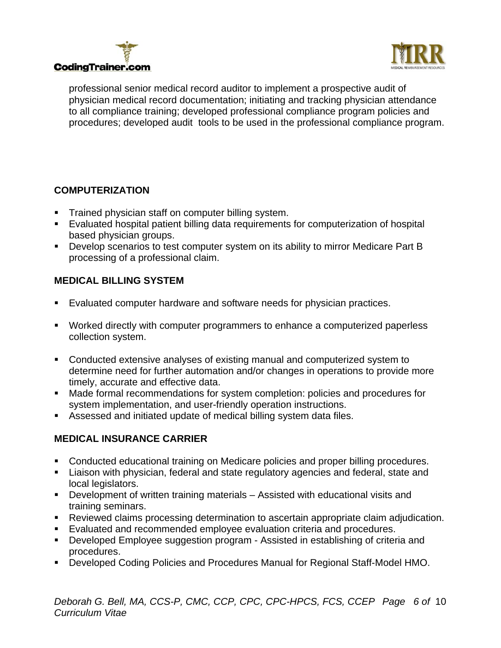



professional senior medical record auditor to implement a prospective audit of physician medical record documentation; initiating and tracking physician attendance to all compliance training; developed professional compliance program policies and procedures; developed audit tools to be used in the professional compliance program.

# **COMPUTERIZATION**

- **Trained physician staff on computer billing system.**
- Evaluated hospital patient billing data requirements for computerization of hospital based physician groups.
- Develop scenarios to test computer system on its ability to mirror Medicare Part B processing of a professional claim.

# **MEDICAL BILLING SYSTEM**

- Evaluated computer hardware and software needs for physician practices.
- Worked directly with computer programmers to enhance a computerized paperless collection system.
- Conducted extensive analyses of existing manual and computerized system to determine need for further automation and/or changes in operations to provide more timely, accurate and effective data.
- Made formal recommendations for system completion: policies and procedures for system implementation, and user-friendly operation instructions.
- Assessed and initiated update of medical billing system data files.

# **MEDICAL INSURANCE CARRIER**

- Conducted educational training on Medicare policies and proper billing procedures.
- **EXTE:** Liaison with physician, federal and state regulatory agencies and federal, state and local legislators.
- Development of written training materials Assisted with educational visits and training seminars.
- Reviewed claims processing determination to ascertain appropriate claim adjudication.
- Evaluated and recommended employee evaluation criteria and procedures.
- Developed Employee suggestion program Assisted in establishing of criteria and procedures.
- Developed Coding Policies and Procedures Manual for Regional Staff-Model HMO.

*Deborah G. Bell, MA, CCS-P, CMC, CCP, CPC, CPC-HPCS, FCS, CCEP Page 6 of* 10 *Curriculum Vitae*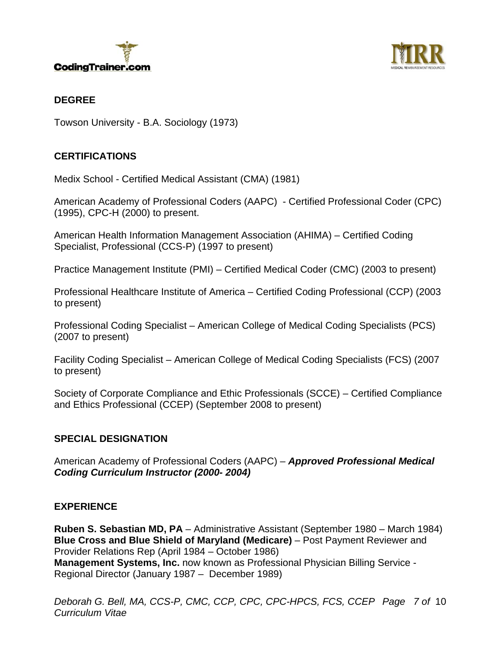



#### **DEGREE**

Towson University - B.A. Sociology (1973)

#### **CERTIFICATIONS**

Medix School - Certified Medical Assistant (CMA) (1981)

American Academy of Professional Coders (AAPC) - Certified Professional Coder (CPC) (1995), CPC-H (2000) to present.

American Health Information Management Association (AHIMA) – Certified Coding Specialist, Professional (CCS-P) (1997 to present)

Practice Management Institute (PMI) – Certified Medical Coder (CMC) (2003 to present)

Professional Healthcare Institute of America – Certified Coding Professional (CCP) (2003 to present)

Professional Coding Specialist – American College of Medical Coding Specialists (PCS) (2007 to present)

Facility Coding Specialist – American College of Medical Coding Specialists (FCS) (2007 to present)

Society of Corporate Compliance and Ethic Professionals (SCCE) – Certified Compliance and Ethics Professional (CCEP) (September 2008 to present)

# **SPECIAL DESIGNATION**

American Academy of Professional Coders (AAPC) – *Approved Professional Medical Coding Curriculum Instructor (2000- 2004)* 

#### **EXPERIENCE**

**Ruben S. Sebastian MD, PA** – Administrative Assistant (September 1980 – March 1984) **Blue Cross and Blue Shield of Maryland (Medicare)** – Post Payment Reviewer and Provider Relations Rep (April 1984 – October 1986) **Management Systems, Inc.** now known as Professional Physician Billing Service - Regional Director (January 1987 – December 1989)

*Deborah G. Bell, MA, CCS-P, CMC, CCP, CPC, CPC-HPCS, FCS, CCEP Page 7 of* 10 *Curriculum Vitae*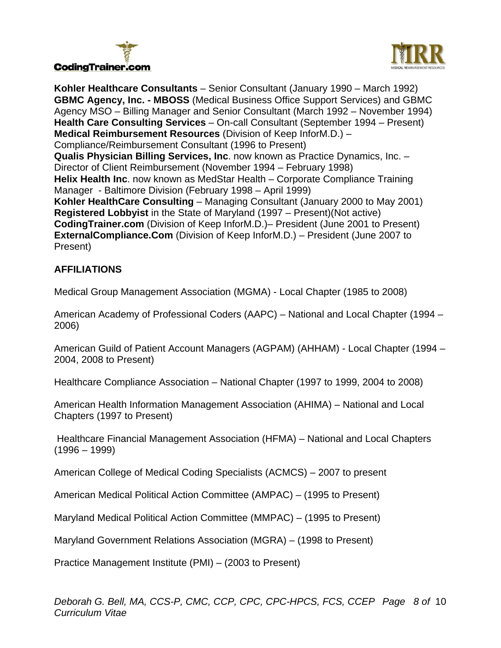



**Kohler Healthcare Consultants** – Senior Consultant (January 1990 – March 1992) **GBMC Agency, Inc. - MBOSS** (Medical Business Office Support Services) and GBMC Agency MSO – Billing Manager and Senior Consultant (March 1992 – November 1994) **Health Care Consulting Services** – On-call Consultant (September 1994 – Present) **Medical Reimbursement Resources** (Division of Keep InforM.D.) – Compliance/Reimbursement Consultant (1996 to Present) **Qualis Physician Billing Services, Inc**. now known as Practice Dynamics, Inc. – Director of Client Reimbursement (November 1994 – February 1998) **Helix Health Inc**. now known as MedStar Health – Corporate Compliance Training Manager - Baltimore Division (February 1998 – April 1999) **Kohler HealthCare Consulting** – Managing Consultant (January 2000 to May 2001) **Registered Lobbyist** in the State of Maryland (1997 – Present)(Not active) **CodingTrainer.com** (Division of Keep InforM.D.)– President (June 2001 to Present) **ExternalCompliance.Com** (Division of Keep InforM.D.) – President (June 2007 to Present)

# **AFFILIATIONS**

Medical Group Management Association (MGMA) - Local Chapter (1985 to 2008)

American Academy of Professional Coders (AAPC) – National and Local Chapter (1994 – 2006)

American Guild of Patient Account Managers (AGPAM) (AHHAM) - Local Chapter (1994 – 2004, 2008 to Present)

Healthcare Compliance Association – National Chapter (1997 to 1999, 2004 to 2008)

American Health Information Management Association (AHIMA) – National and Local Chapters (1997 to Present)

 Healthcare Financial Management Association (HFMA) – National and Local Chapters (1996 – 1999)

American College of Medical Coding Specialists (ACMCS) – 2007 to present

American Medical Political Action Committee (AMPAC) – (1995 to Present)

Maryland Medical Political Action Committee (MMPAC) – (1995 to Present)

Maryland Government Relations Association (MGRA) – (1998 to Present)

Practice Management Institute (PMI) – (2003 to Present)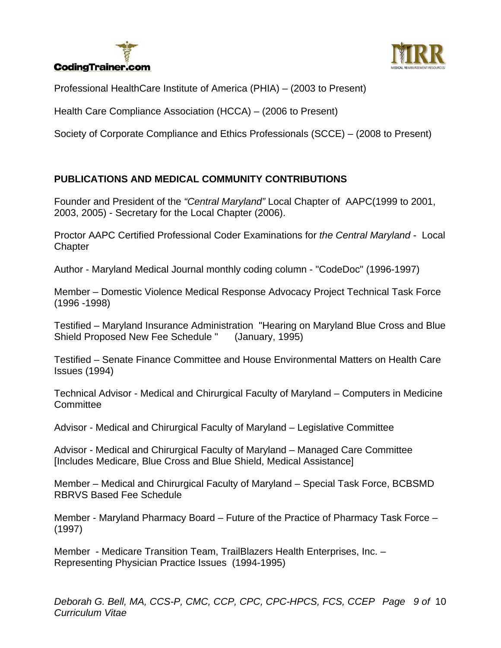# **CodingTrainer.com**



Professional HealthCare Institute of America (PHIA) – (2003 to Present)

Health Care Compliance Association (HCCA) – (2006 to Present)

Society of Corporate Compliance and Ethics Professionals (SCCE) – (2008 to Present)

# **PUBLICATIONS AND MEDICAL COMMUNITY CONTRIBUTIONS**

Founder and President of the *"Central Maryland"* Local Chapter of AAPC(1999 to 2001, 2003, 2005) - Secretary for the Local Chapter (2006).

Proctor AAPC Certified Professional Coder Examinations for *the Central Maryland -* Local **Chapter** 

Author - Maryland Medical Journal monthly coding column - "CodeDoc" (1996-1997)

Member – Domestic Violence Medical Response Advocacy Project Technical Task Force (1996 -1998)

Testified – Maryland Insurance Administration "Hearing on Maryland Blue Cross and Blue Shield Proposed New Fee Schedule " (January, 1995)

Testified – Senate Finance Committee and House Environmental Matters on Health Care Issues (1994)

Technical Advisor - Medical and Chirurgical Faculty of Maryland – Computers in Medicine **Committee** 

Advisor - Medical and Chirurgical Faculty of Maryland – Legislative Committee

Advisor - Medical and Chirurgical Faculty of Maryland – Managed Care Committee [Includes Medicare, Blue Cross and Blue Shield, Medical Assistance]

Member – Medical and Chirurgical Faculty of Maryland – Special Task Force, BCBSMD RBRVS Based Fee Schedule

Member - Maryland Pharmacy Board – Future of the Practice of Pharmacy Task Force – (1997)

Member - Medicare Transition Team, TrailBlazers Health Enterprises, Inc. – Representing Physician Practice Issues (1994-1995)

*Deborah G. Bell, MA, CCS-P, CMC, CCP, CPC, CPC-HPCS, FCS, CCEP Page 9 of* 10 *Curriculum Vitae*